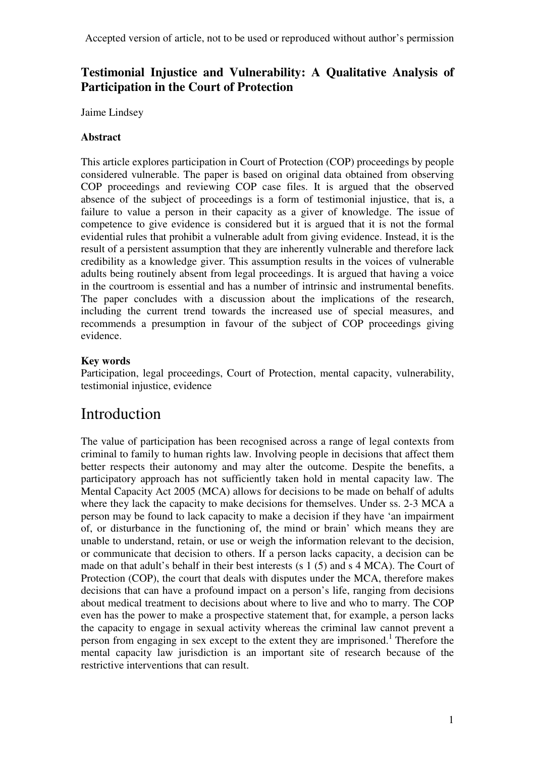## **Testimonial Injustice and Vulnerability: A Qualitative Analysis of Participation in the Court of Protection**

Jaime Lindsey

### **Abstract**

This article explores participation in Court of Protection (COP) proceedings by people considered vulnerable. The paper is based on original data obtained from observing COP proceedings and reviewing COP case files. It is argued that the observed absence of the subject of proceedings is a form of testimonial injustice, that is, a failure to value a person in their capacity as a giver of knowledge. The issue of competence to give evidence is considered but it is argued that it is not the formal evidential rules that prohibit a vulnerable adult from giving evidence. Instead, it is the result of a persistent assumption that they are inherently vulnerable and therefore lack credibility as a knowledge giver. This assumption results in the voices of vulnerable adults being routinely absent from legal proceedings. It is argued that having a voice in the courtroom is essential and has a number of intrinsic and instrumental benefits. The paper concludes with a discussion about the implications of the research, including the current trend towards the increased use of special measures, and recommends a presumption in favour of the subject of COP proceedings giving evidence.

### **Key words**

Participation, legal proceedings, Court of Protection, mental capacity, vulnerability, testimonial injustice, evidence

## Introduction

The value of participation has been recognised across a range of legal contexts from criminal to family to human rights law. Involving people in decisions that affect them better respects their autonomy and may alter the outcome. Despite the benefits, a participatory approach has not sufficiently taken hold in mental capacity law. The Mental Capacity Act 2005 (MCA) allows for decisions to be made on behalf of adults where they lack the capacity to make decisions for themselves. Under ss. 2-3 MCA a person may be found to lack capacity to make a decision if they have 'an impairment of, or disturbance in the functioning of, the mind or brain' which means they are unable to understand, retain, or use or weigh the information relevant to the decision, or communicate that decision to others. If a person lacks capacity, a decision can be made on that adult's behalf in their best interests (s 1 (5) and s 4 MCA). The Court of Protection (COP), the court that deals with disputes under the MCA, therefore makes decisions that can have a profound impact on a person's life, ranging from decisions about medical treatment to decisions about where to live and who to marry. The COP even has the power to make a prospective statement that, for example, a person lacks the capacity to engage in sexual activity whereas the criminal law cannot prevent a person from engaging in sex except to the extent they are imprisoned.<sup>1</sup> Therefore the mental capacity law jurisdiction is an important site of research because of the restrictive interventions that can result.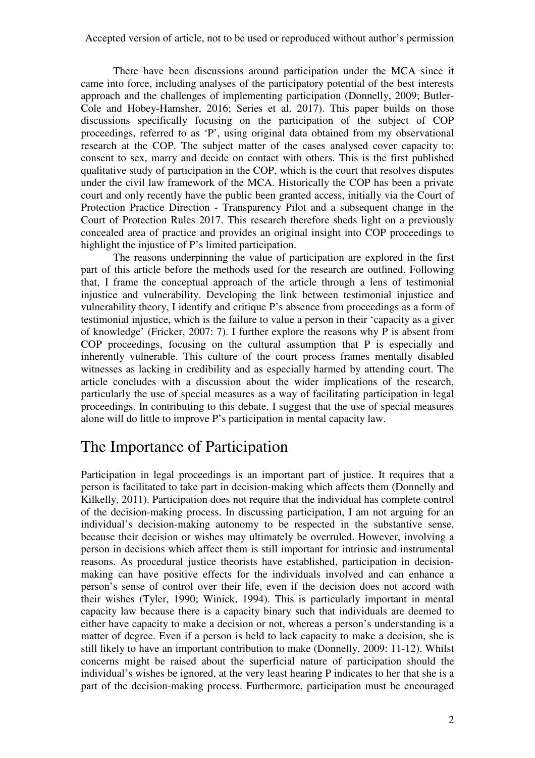There have been discussions around participation under the MCA since it came into force, including analyses of the participatory potential of the best interests approach and the challenges of implementing participation (Donnelly, 2009; Butler-Cole and Hobey-Hamsher, 2016; Series et al. 2017). This paper builds on those discussions specifically focusing on the participation of the subject of COP proceedings, referred to as 'P', using original data obtained from my observational research at the COP. The subject matter of the cases analysed cover capacity to: consent to sex, marry and decide on contact with others. This is the first published qualitative study of participation in the COP, which is the court that resolves disputes under the civil law framework of the MCA. Historically the COP has been a private court and only recently have the public been granted access, initially via the Court of Protection Practice Direction - Transparency Pilot and a subsequent change in the Court of Protection Rules 2017. This research therefore sheds light on a previously concealed area of practice and provides an original insight into COP proceedings to highlight the injustice of P's limited participation.

The reasons underpinning the value of participation are explored in the first part of this article before the methods used for the research are outlined. Following that, I frame the conceptual approach of the article through a lens of testimonial injustice and vulnerability. Developing the link between testimonial injustice and vulnerability theory, I identify and critique P's absence from proceedings as a form of testimonial injustice, which is the failure to value a person in their 'capacity as a giver of knowledge' (Fricker, 2007: 7). I further explore the reasons why P is absent from COP proceedings, focusing on the cultural assumption that P is especially and inherently vulnerable. This culture of the court process frames mentally disabled witnesses as lacking in credibility and as especially harmed by attending court. The article concludes with a discussion about the wider implications of the research, particularly the use of special measures as a way of facilitating participation in legal proceedings. In contributing to this debate, I suggest that the use of special measures alone will do little to improve P's participation in mental capacity law.

# The Importance of Participation

Participation in legal proceedings is an important part of justice. It requires that a person is facilitated to take part in decision-making which affects them (Donnelly and Kilkelly, 2011). Participation does not require that the individual has complete control of the decision-making process. In discussing participation, I am not arguing for an individual's decision-making autonomy to be respected in the substantive sense, because their decision or wishes may ultimately be overruled. However, involving a person in decisions which affect them is still important for intrinsic and instrumental reasons. As procedural justice theorists have established, participation in decisionmaking can have positive effects for the individuals involved and can enhance a person's sense of control over their life, even if the decision does not accord with their wishes (Tyler, 1990; Winick, 1994). This is particularly important in mental capacity law because there is a capacity binary such that individuals are deemed to either have capacity to make a decision or not, whereas a person's understanding is a matter of degree. Even if a person is held to lack capacity to make a decision, she is still likely to have an important contribution to make (Donnelly, 2009: 11-12). Whilst concerns might be raised about the superficial nature of participation should the individual's wishes be ignored, at the very least hearing P indicates to her that she is a part of the decision-making process. Furthermore, participation must be encouraged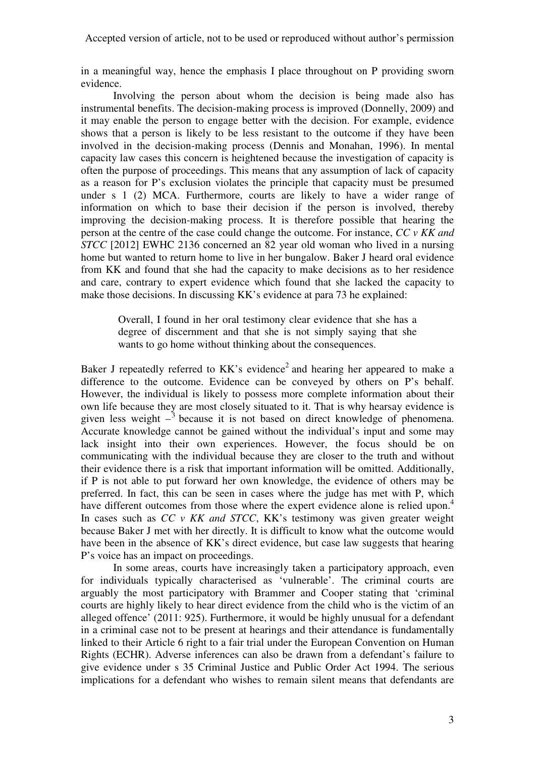in a meaningful way, hence the emphasis I place throughout on P providing sworn evidence.

Involving the person about whom the decision is being made also has instrumental benefits. The decision-making process is improved (Donnelly, 2009) and it may enable the person to engage better with the decision. For example, evidence shows that a person is likely to be less resistant to the outcome if they have been involved in the decision-making process (Dennis and Monahan, 1996). In mental capacity law cases this concern is heightened because the investigation of capacity is often the purpose of proceedings. This means that any assumption of lack of capacity as a reason for P's exclusion violates the principle that capacity must be presumed under s 1 (2) MCA. Furthermore, courts are likely to have a wider range of information on which to base their decision if the person is involved, thereby improving the decision-making process. It is therefore possible that hearing the person at the centre of the case could change the outcome. For instance, *CC v KK and STCC* [2012] EWHC 2136 concerned an 82 year old woman who lived in a nursing home but wanted to return home to live in her bungalow. Baker J heard oral evidence from KK and found that she had the capacity to make decisions as to her residence and care, contrary to expert evidence which found that she lacked the capacity to make those decisions. In discussing KK's evidence at para 73 he explained:

Overall, I found in her oral testimony clear evidence that she has a degree of discernment and that she is not simply saying that she wants to go home without thinking about the consequences.

Baker J repeatedly referred to  $KK$ 's evidence<sup>2</sup> and hearing her appeared to make a difference to the outcome. Evidence can be conveyed by others on P's behalf. However, the individual is likely to possess more complete information about their own life because they are most closely situated to it. That is why hearsay evidence is given less weight  $-\frac{3}{2}$  because it is not based on direct knowledge of phenomena. Accurate knowledge cannot be gained without the individual's input and some may lack insight into their own experiences. However, the focus should be on communicating with the individual because they are closer to the truth and without their evidence there is a risk that important information will be omitted. Additionally, if P is not able to put forward her own knowledge, the evidence of others may be preferred. In fact, this can be seen in cases where the judge has met with P, which have different outcomes from those where the expert evidence alone is relied upon.<sup>4</sup> In cases such as *CC v KK and STCC*, KK's testimony was given greater weight because Baker J met with her directly. It is difficult to know what the outcome would have been in the absence of KK's direct evidence, but case law suggests that hearing P's voice has an impact on proceedings.

In some areas, courts have increasingly taken a participatory approach, even for individuals typically characterised as 'vulnerable'. The criminal courts are arguably the most participatory with Brammer and Cooper stating that 'criminal courts are highly likely to hear direct evidence from the child who is the victim of an alleged offence' (2011: 925). Furthermore, it would be highly unusual for a defendant in a criminal case not to be present at hearings and their attendance is fundamentally linked to their Article 6 right to a fair trial under the European Convention on Human Rights (ECHR). Adverse inferences can also be drawn from a defendant's failure to give evidence under s 35 Criminal Justice and Public Order Act 1994. The serious implications for a defendant who wishes to remain silent means that defendants are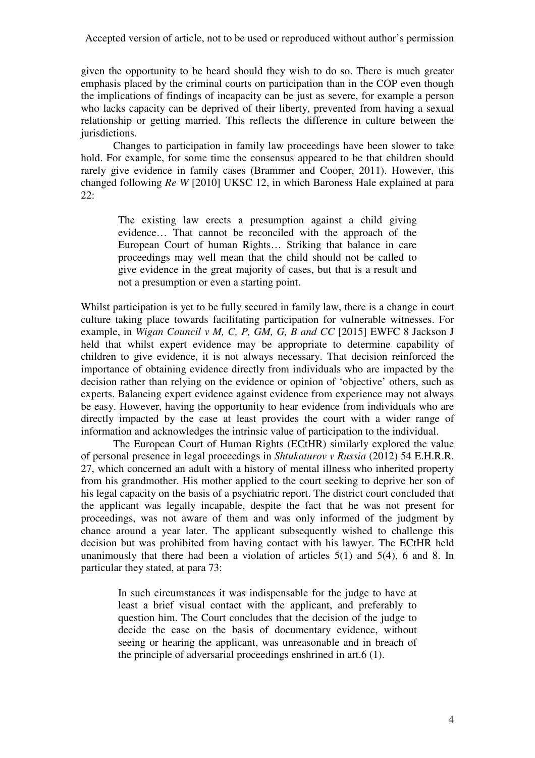given the opportunity to be heard should they wish to do so. There is much greater emphasis placed by the criminal courts on participation than in the COP even though the implications of findings of incapacity can be just as severe, for example a person who lacks capacity can be deprived of their liberty, prevented from having a sexual relationship or getting married. This reflects the difference in culture between the jurisdictions.

Changes to participation in family law proceedings have been slower to take hold. For example, for some time the consensus appeared to be that children should rarely give evidence in family cases (Brammer and Cooper, 2011). However, this changed following *Re W* [2010] UKSC 12, in which Baroness Hale explained at para 22:

The existing law erects a presumption against a child giving evidence… That cannot be reconciled with the approach of the European Court of human Rights… Striking that balance in care proceedings may well mean that the child should not be called to give evidence in the great majority of cases, but that is a result and not a presumption or even a starting point.

Whilst participation is yet to be fully secured in family law, there is a change in court culture taking place towards facilitating participation for vulnerable witnesses. For example, in *Wigan Council v M, C, P, GM, G, B and CC* [2015] EWFC 8 Jackson J held that whilst expert evidence may be appropriate to determine capability of children to give evidence, it is not always necessary. That decision reinforced the importance of obtaining evidence directly from individuals who are impacted by the decision rather than relying on the evidence or opinion of 'objective' others, such as experts. Balancing expert evidence against evidence from experience may not always be easy. However, having the opportunity to hear evidence from individuals who are directly impacted by the case at least provides the court with a wider range of information and acknowledges the intrinsic value of participation to the individual.

The European Court of Human Rights (ECtHR) similarly explored the value of personal presence in legal proceedings in *Shtukaturov v Russia* (2012) 54 E.H.R.R. 27, which concerned an adult with a history of mental illness who inherited property from his grandmother. His mother applied to the court seeking to deprive her son of his legal capacity on the basis of a psychiatric report. The district court concluded that the applicant was legally incapable, despite the fact that he was not present for proceedings, was not aware of them and was only informed of the judgment by chance around a year later. The applicant subsequently wished to challenge this decision but was prohibited from having contact with his lawyer. The ECtHR held unanimously that there had been a violation of articles  $5(1)$  and  $5(4)$ , 6 and 8. In particular they stated, at para 73:

In such circumstances it was indispensable for the judge to have at least a brief visual contact with the applicant, and preferably to question him. The Court concludes that the decision of the judge to decide the case on the basis of documentary evidence, without seeing or hearing the applicant, was unreasonable and in breach of the principle of adversarial proceedings enshrined in art.6 (1).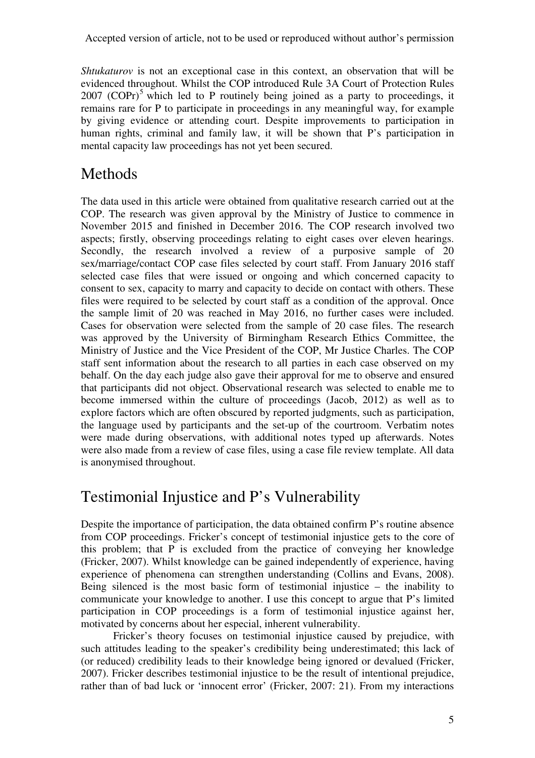*Shtukaturov* is not an exceptional case in this context, an observation that will be evidenced throughout. Whilst the COP introduced Rule 3A Court of Protection Rules 2007 (COPr)<sup>5</sup> which led to P routinely being joined as a party to proceedings, it remains rare for P to participate in proceedings in any meaningful way, for example by giving evidence or attending court. Despite improvements to participation in human rights, criminal and family law, it will be shown that P's participation in mental capacity law proceedings has not yet been secured.

# Methods

The data used in this article were obtained from qualitative research carried out at the COP. The research was given approval by the Ministry of Justice to commence in November 2015 and finished in December 2016. The COP research involved two aspects; firstly, observing proceedings relating to eight cases over eleven hearings. Secondly, the research involved a review of a purposive sample of 20 sex/marriage/contact COP case files selected by court staff. From January 2016 staff selected case files that were issued or ongoing and which concerned capacity to consent to sex, capacity to marry and capacity to decide on contact with others. These files were required to be selected by court staff as a condition of the approval. Once the sample limit of 20 was reached in May 2016, no further cases were included. Cases for observation were selected from the sample of 20 case files. The research was approved by the University of Birmingham Research Ethics Committee, the Ministry of Justice and the Vice President of the COP, Mr Justice Charles. The COP staff sent information about the research to all parties in each case observed on my behalf. On the day each judge also gave their approval for me to observe and ensured that participants did not object. Observational research was selected to enable me to become immersed within the culture of proceedings (Jacob, 2012) as well as to explore factors which are often obscured by reported judgments, such as participation, the language used by participants and the set-up of the courtroom. Verbatim notes were made during observations, with additional notes typed up afterwards. Notes were also made from a review of case files, using a case file review template. All data is anonymised throughout.

# Testimonial Injustice and P's Vulnerability

Despite the importance of participation, the data obtained confirm P's routine absence from COP proceedings. Fricker's concept of testimonial injustice gets to the core of this problem; that P is excluded from the practice of conveying her knowledge (Fricker, 2007). Whilst knowledge can be gained independently of experience, having experience of phenomena can strengthen understanding (Collins and Evans, 2008). Being silenced is the most basic form of testimonial injustice – the inability to communicate your knowledge to another. I use this concept to argue that P's limited participation in COP proceedings is a form of testimonial injustice against her, motivated by concerns about her especial, inherent vulnerability.

Fricker's theory focuses on testimonial injustice caused by prejudice, with such attitudes leading to the speaker's credibility being underestimated; this lack of (or reduced) credibility leads to their knowledge being ignored or devalued (Fricker, 2007). Fricker describes testimonial injustice to be the result of intentional prejudice, rather than of bad luck or 'innocent error' (Fricker, 2007: 21). From my interactions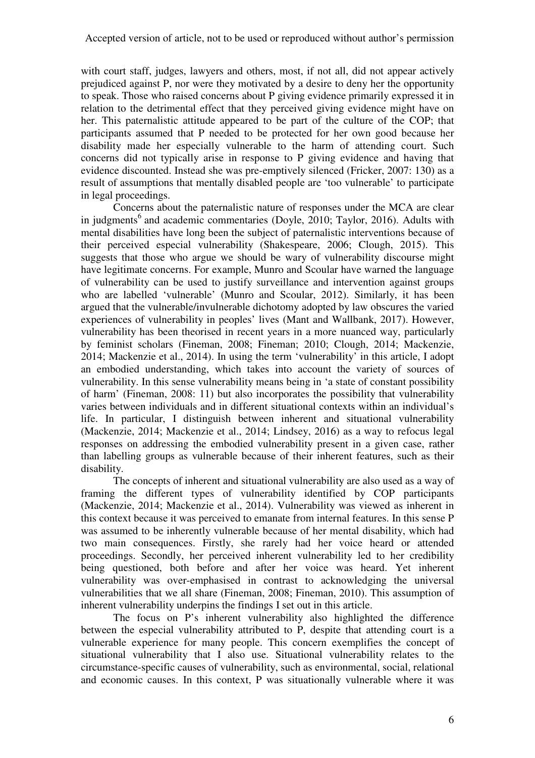with court staff, judges, lawyers and others, most, if not all, did not appear actively prejudiced against P, nor were they motivated by a desire to deny her the opportunity to speak. Those who raised concerns about P giving evidence primarily expressed it in relation to the detrimental effect that they perceived giving evidence might have on her. This paternalistic attitude appeared to be part of the culture of the COP; that participants assumed that P needed to be protected for her own good because her disability made her especially vulnerable to the harm of attending court. Such concerns did not typically arise in response to P giving evidence and having that evidence discounted. Instead she was pre-emptively silenced (Fricker, 2007: 130) as a result of assumptions that mentally disabled people are 'too vulnerable' to participate in legal proceedings.

Concerns about the paternalistic nature of responses under the MCA are clear in judgments<sup>6</sup> and academic commentaries (Doyle, 2010; Taylor, 2016). Adults with mental disabilities have long been the subject of paternalistic interventions because of their perceived especial vulnerability (Shakespeare, 2006; Clough, 2015). This suggests that those who argue we should be wary of vulnerability discourse might have legitimate concerns. For example, Munro and Scoular have warned the language of vulnerability can be used to justify surveillance and intervention against groups who are labelled 'vulnerable' (Munro and Scoular, 2012). Similarly, it has been argued that the vulnerable/invulnerable dichotomy adopted by law obscures the varied experiences of vulnerability in peoples' lives (Mant and Wallbank, 2017). However, vulnerability has been theorised in recent years in a more nuanced way, particularly by feminist scholars (Fineman, 2008; Fineman; 2010; Clough, 2014; Mackenzie, 2014; Mackenzie et al., 2014). In using the term 'vulnerability' in this article, I adopt an embodied understanding, which takes into account the variety of sources of vulnerability. In this sense vulnerability means being in 'a state of constant possibility of harm' (Fineman, 2008: 11) but also incorporates the possibility that vulnerability varies between individuals and in different situational contexts within an individual's life. In particular, I distinguish between inherent and situational vulnerability (Mackenzie, 2014; Mackenzie et al., 2014; Lindsey, 2016) as a way to refocus legal responses on addressing the embodied vulnerability present in a given case, rather than labelling groups as vulnerable because of their inherent features, such as their disability.

The concepts of inherent and situational vulnerability are also used as a way of framing the different types of vulnerability identified by COP participants (Mackenzie, 2014; Mackenzie et al., 2014). Vulnerability was viewed as inherent in this context because it was perceived to emanate from internal features. In this sense P was assumed to be inherently vulnerable because of her mental disability, which had two main consequences. Firstly, she rarely had her voice heard or attended proceedings. Secondly, her perceived inherent vulnerability led to her credibility being questioned, both before and after her voice was heard. Yet inherent vulnerability was over-emphasised in contrast to acknowledging the universal vulnerabilities that we all share (Fineman, 2008; Fineman, 2010). This assumption of inherent vulnerability underpins the findings I set out in this article.

The focus on P's inherent vulnerability also highlighted the difference between the especial vulnerability attributed to P, despite that attending court is a vulnerable experience for many people. This concern exemplifies the concept of situational vulnerability that I also use. Situational vulnerability relates to the circumstance-specific causes of vulnerability, such as environmental, social, relational and economic causes. In this context, P was situationally vulnerable where it was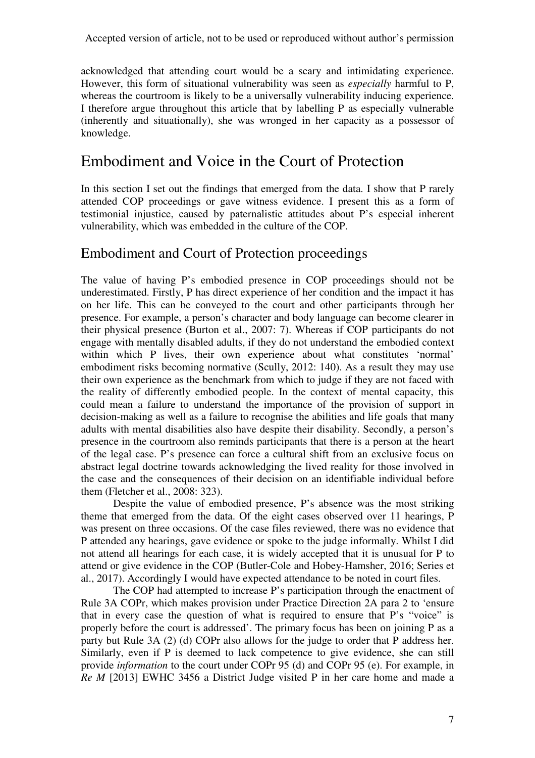acknowledged that attending court would be a scary and intimidating experience. However, this form of situational vulnerability was seen as *especially* harmful to P, whereas the courtroom is likely to be a universally vulnerability inducing experience. I therefore argue throughout this article that by labelling P as especially vulnerable (inherently and situationally), she was wronged in her capacity as a possessor of knowledge.

## Embodiment and Voice in the Court of Protection

In this section I set out the findings that emerged from the data. I show that P rarely attended COP proceedings or gave witness evidence. I present this as a form of testimonial injustice, caused by paternalistic attitudes about P's especial inherent vulnerability, which was embedded in the culture of the COP.

## Embodiment and Court of Protection proceedings

The value of having P's embodied presence in COP proceedings should not be underestimated. Firstly, P has direct experience of her condition and the impact it has on her life. This can be conveyed to the court and other participants through her presence. For example, a person's character and body language can become clearer in their physical presence (Burton et al., 2007: 7). Whereas if COP participants do not engage with mentally disabled adults, if they do not understand the embodied context within which P lives, their own experience about what constitutes 'normal' embodiment risks becoming normative (Scully, 2012: 140). As a result they may use their own experience as the benchmark from which to judge if they are not faced with the reality of differently embodied people. In the context of mental capacity, this could mean a failure to understand the importance of the provision of support in decision-making as well as a failure to recognise the abilities and life goals that many adults with mental disabilities also have despite their disability. Secondly, a person's presence in the courtroom also reminds participants that there is a person at the heart of the legal case. P's presence can force a cultural shift from an exclusive focus on abstract legal doctrine towards acknowledging the lived reality for those involved in the case and the consequences of their decision on an identifiable individual before them (Fletcher et al., 2008: 323).

Despite the value of embodied presence, P's absence was the most striking theme that emerged from the data. Of the eight cases observed over 11 hearings, P was present on three occasions. Of the case files reviewed, there was no evidence that P attended any hearings, gave evidence or spoke to the judge informally. Whilst I did not attend all hearings for each case, it is widely accepted that it is unusual for P to attend or give evidence in the COP (Butler-Cole and Hobey-Hamsher, 2016; Series et al., 2017). Accordingly I would have expected attendance to be noted in court files.

The COP had attempted to increase P's participation through the enactment of Rule 3A COPr, which makes provision under Practice Direction 2A para 2 to 'ensure that in every case the question of what is required to ensure that P's "voice" is properly before the court is addressed'. The primary focus has been on joining P as a party but Rule 3A (2) (d) COPr also allows for the judge to order that P address her. Similarly, even if P is deemed to lack competence to give evidence, she can still provide *information* to the court under COPr 95 (d) and COPr 95 (e). For example, in *Re M* [2013] EWHC 3456 a District Judge visited P in her care home and made a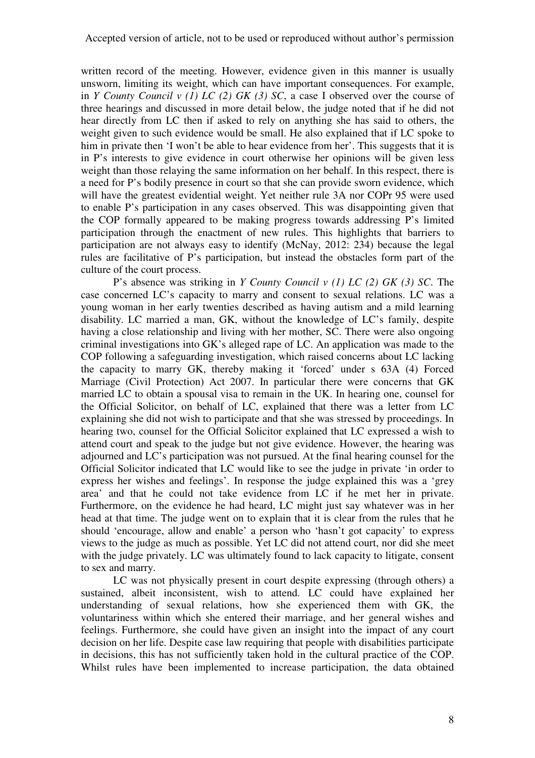written record of the meeting. However, evidence given in this manner is usually unsworn, limiting its weight, which can have important consequences. For example, in *Y County Council v (1) LC (2) GK (3) SC*, a case I observed over the course of three hearings and discussed in more detail below, the judge noted that if he did not hear directly from LC then if asked to rely on anything she has said to others, the weight given to such evidence would be small. He also explained that if LC spoke to him in private then 'I won't be able to hear evidence from her'. This suggests that it is in P's interests to give evidence in court otherwise her opinions will be given less weight than those relaying the same information on her behalf. In this respect, there is a need for P's bodily presence in court so that she can provide sworn evidence, which will have the greatest evidential weight. Yet neither rule 3A nor COPr 95 were used to enable P's participation in any cases observed. This was disappointing given that the COP formally appeared to be making progress towards addressing P's limited participation through the enactment of new rules. This highlights that barriers to participation are not always easy to identify (McNay, 2012: 234) because the legal rules are facilitative of P's participation, but instead the obstacles form part of the culture of the court process.

P's absence was striking in *Y County Council v (1) LC (2) GK (3) SC*. The case concerned LC's capacity to marry and consent to sexual relations. LC was a young woman in her early twenties described as having autism and a mild learning disability. LC married a man, GK, without the knowledge of LC's family, despite having a close relationship and living with her mother, SC. There were also ongoing criminal investigations into GK's alleged rape of LC. An application was made to the COP following a safeguarding investigation, which raised concerns about LC lacking the capacity to marry GK, thereby making it 'forced' under s 63A (4) Forced Marriage (Civil Protection) Act 2007. In particular there were concerns that GK married LC to obtain a spousal visa to remain in the UK. In hearing one, counsel for the Official Solicitor, on behalf of LC, explained that there was a letter from LC explaining she did not wish to participate and that she was stressed by proceedings. In hearing two, counsel for the Official Solicitor explained that LC expressed a wish to attend court and speak to the judge but not give evidence. However, the hearing was adjourned and LC's participation was not pursued. At the final hearing counsel for the Official Solicitor indicated that LC would like to see the judge in private 'in order to express her wishes and feelings'. In response the judge explained this was a 'grey area' and that he could not take evidence from LC if he met her in private. Furthermore, on the evidence he had heard, LC might just say whatever was in her head at that time. The judge went on to explain that it is clear from the rules that he should 'encourage, allow and enable' a person who 'hasn't got capacity' to express views to the judge as much as possible. Yet LC did not attend court, nor did she meet with the judge privately. LC was ultimately found to lack capacity to litigate, consent to sex and marry.

 LC was not physically present in court despite expressing (through others) a sustained, albeit inconsistent, wish to attend. LC could have explained her understanding of sexual relations, how she experienced them with GK, the voluntariness within which she entered their marriage, and her general wishes and feelings. Furthermore, she could have given an insight into the impact of any court decision on her life. Despite case law requiring that people with disabilities participate in decisions, this has not sufficiently taken hold in the cultural practice of the COP. Whilst rules have been implemented to increase participation, the data obtained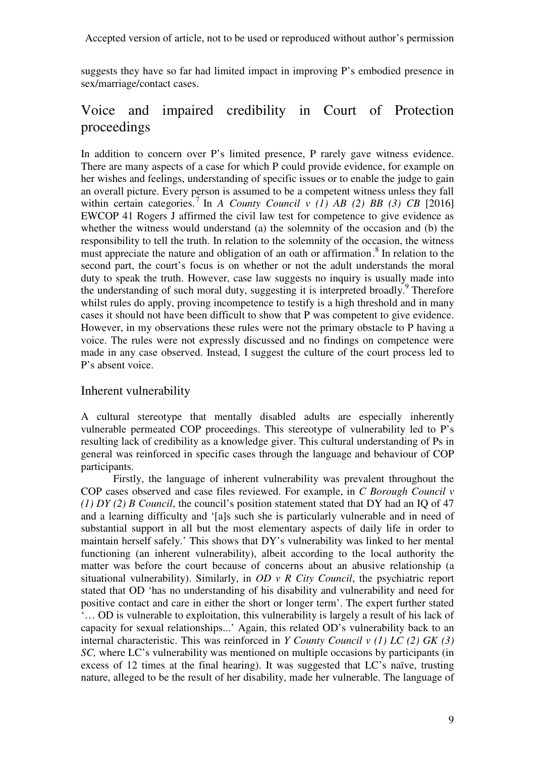suggests they have so far had limited impact in improving P's embodied presence in sex/marriage/contact cases.

## Voice and impaired credibility in Court of Protection proceedings

In addition to concern over P's limited presence, P rarely gave witness evidence. There are many aspects of a case for which P could provide evidence, for example on her wishes and feelings, understanding of specific issues or to enable the judge to gain an overall picture. Every person is assumed to be a competent witness unless they fall within certain categories.<sup>7</sup> In *A County Council v (1) AB (2) BB (3) CB* [2016] EWCOP 41 Rogers J affirmed the civil law test for competence to give evidence as whether the witness would understand (a) the solemnity of the occasion and (b) the responsibility to tell the truth. In relation to the solemnity of the occasion, the witness must appreciate the nature and obligation of an oath or affirmation.<sup>8</sup> In relation to the second part, the court's focus is on whether or not the adult understands the moral duty to speak the truth. However, case law suggests no inquiry is usually made into the understanding of such moral duty, suggesting it is interpreted broadly.<sup>9</sup> Therefore whilst rules do apply, proving incompetence to testify is a high threshold and in many cases it should not have been difficult to show that P was competent to give evidence. However, in my observations these rules were not the primary obstacle to P having a voice. The rules were not expressly discussed and no findings on competence were made in any case observed. Instead, I suggest the culture of the court process led to P's absent voice.

### Inherent vulnerability

A cultural stereotype that mentally disabled adults are especially inherently vulnerable permeated COP proceedings. This stereotype of vulnerability led to P's resulting lack of credibility as a knowledge giver. This cultural understanding of Ps in general was reinforced in specific cases through the language and behaviour of COP participants.

Firstly, the language of inherent vulnerability was prevalent throughout the COP cases observed and case files reviewed. For example, in *C Borough Council v (1) DY (2) B Council*, the council's position statement stated that DY had an IQ of 47 and a learning difficulty and '[a]s such she is particularly vulnerable and in need of substantial support in all but the most elementary aspects of daily life in order to maintain herself safely.' This shows that DY's vulnerability was linked to her mental functioning (an inherent vulnerability), albeit according to the local authority the matter was before the court because of concerns about an abusive relationship (a situational vulnerability). Similarly, in *OD v R City Council*, the psychiatric report stated that OD 'has no understanding of his disability and vulnerability and need for positive contact and care in either the short or longer term'. The expert further stated '… OD is vulnerable to exploitation, this vulnerability is largely a result of his lack of capacity for sexual relationships...' Again, this related OD's vulnerability back to an internal characteristic. This was reinforced in *Y County Council v (1) LC (2) GK (3) SC*, where LC's vulnerability was mentioned on multiple occasions by participants (in excess of 12 times at the final hearing). It was suggested that LC's naïve, trusting nature, alleged to be the result of her disability, made her vulnerable. The language of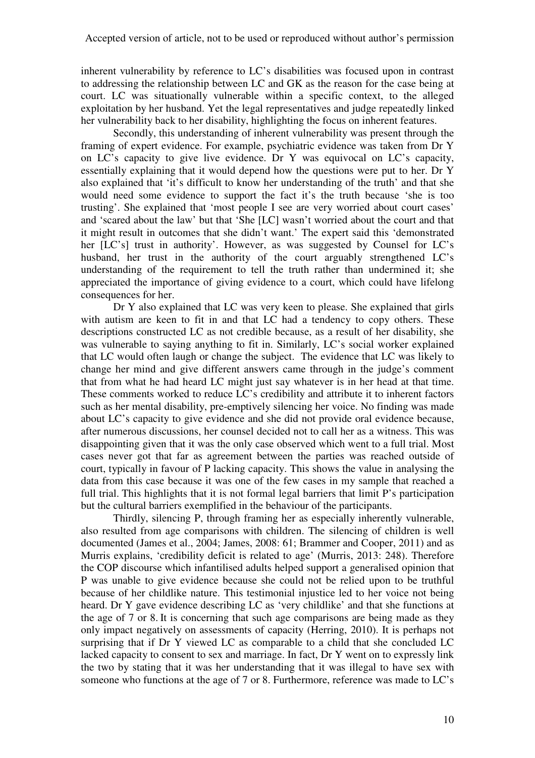inherent vulnerability by reference to LC's disabilities was focused upon in contrast to addressing the relationship between LC and GK as the reason for the case being at court. LC was situationally vulnerable within a specific context, to the alleged exploitation by her husband. Yet the legal representatives and judge repeatedly linked her vulnerability back to her disability, highlighting the focus on inherent features.

Secondly, this understanding of inherent vulnerability was present through the framing of expert evidence. For example, psychiatric evidence was taken from Dr Y on LC's capacity to give live evidence. Dr Y was equivocal on LC's capacity, essentially explaining that it would depend how the questions were put to her. Dr Y also explained that 'it's difficult to know her understanding of the truth' and that she would need some evidence to support the fact it's the truth because 'she is too trusting'. She explained that 'most people I see are very worried about court cases' and 'scared about the law' but that 'She [LC] wasn't worried about the court and that it might result in outcomes that she didn't want.' The expert said this 'demonstrated her [LC's] trust in authority'. However, as was suggested by Counsel for LC's husband, her trust in the authority of the court arguably strengthened LC's understanding of the requirement to tell the truth rather than undermined it; she appreciated the importance of giving evidence to a court, which could have lifelong consequences for her.

Dr Y also explained that LC was very keen to please. She explained that girls with autism are keen to fit in and that LC had a tendency to copy others. These descriptions constructed LC as not credible because, as a result of her disability, she was vulnerable to saying anything to fit in. Similarly, LC's social worker explained that LC would often laugh or change the subject. The evidence that LC was likely to change her mind and give different answers came through in the judge's comment that from what he had heard LC might just say whatever is in her head at that time. These comments worked to reduce LC's credibility and attribute it to inherent factors such as her mental disability, pre-emptively silencing her voice. No finding was made about LC's capacity to give evidence and she did not provide oral evidence because, after numerous discussions, her counsel decided not to call her as a witness. This was disappointing given that it was the only case observed which went to a full trial. Most cases never got that far as agreement between the parties was reached outside of court, typically in favour of P lacking capacity. This shows the value in analysing the data from this case because it was one of the few cases in my sample that reached a full trial. This highlights that it is not formal legal barriers that limit P's participation but the cultural barriers exemplified in the behaviour of the participants.

Thirdly, silencing P, through framing her as especially inherently vulnerable, also resulted from age comparisons with children. The silencing of children is well documented (James et al., 2004; James, 2008: 61; Brammer and Cooper, 2011) and as Murris explains, 'credibility deficit is related to age' (Murris, 2013: 248). Therefore the COP discourse which infantilised adults helped support a generalised opinion that P was unable to give evidence because she could not be relied upon to be truthful because of her childlike nature. This testimonial injustice led to her voice not being heard. Dr Y gave evidence describing LC as 'very childlike' and that she functions at the age of 7 or 8. It is concerning that such age comparisons are being made as they only impact negatively on assessments of capacity (Herring, 2010). It is perhaps not surprising that if Dr Y viewed LC as comparable to a child that she concluded LC lacked capacity to consent to sex and marriage. In fact, Dr Y went on to expressly link the two by stating that it was her understanding that it was illegal to have sex with someone who functions at the age of 7 or 8. Furthermore, reference was made to LC's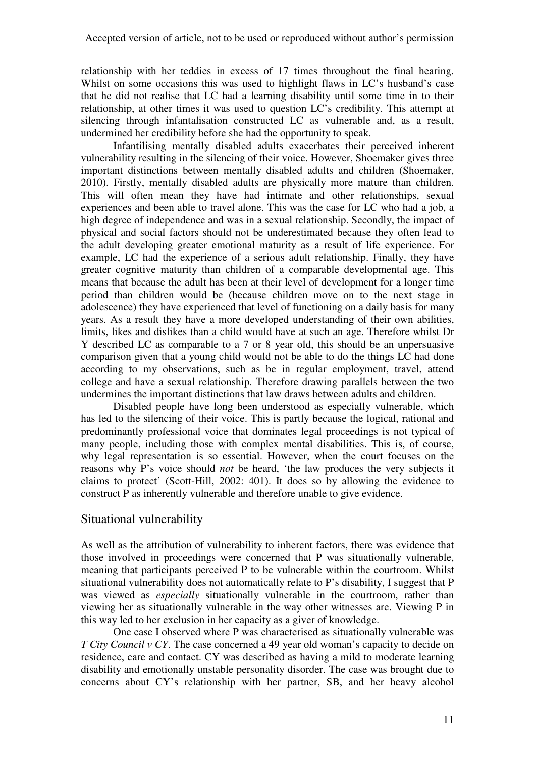relationship with her teddies in excess of 17 times throughout the final hearing. Whilst on some occasions this was used to highlight flaws in LC's husband's case that he did not realise that LC had a learning disability until some time in to their relationship, at other times it was used to question LC's credibility. This attempt at silencing through infantalisation constructed LC as vulnerable and, as a result, undermined her credibility before she had the opportunity to speak.

Infantilising mentally disabled adults exacerbates their perceived inherent vulnerability resulting in the silencing of their voice. However, Shoemaker gives three important distinctions between mentally disabled adults and children (Shoemaker, 2010). Firstly, mentally disabled adults are physically more mature than children. This will often mean they have had intimate and other relationships, sexual experiences and been able to travel alone. This was the case for LC who had a job, a high degree of independence and was in a sexual relationship. Secondly, the impact of physical and social factors should not be underestimated because they often lead to the adult developing greater emotional maturity as a result of life experience. For example, LC had the experience of a serious adult relationship. Finally, they have greater cognitive maturity than children of a comparable developmental age. This means that because the adult has been at their level of development for a longer time period than children would be (because children move on to the next stage in adolescence) they have experienced that level of functioning on a daily basis for many years. As a result they have a more developed understanding of their own abilities, limits, likes and dislikes than a child would have at such an age. Therefore whilst Dr Y described LC as comparable to a 7 or 8 year old, this should be an unpersuasive comparison given that a young child would not be able to do the things LC had done according to my observations, such as be in regular employment, travel, attend college and have a sexual relationship. Therefore drawing parallels between the two undermines the important distinctions that law draws between adults and children.

Disabled people have long been understood as especially vulnerable, which has led to the silencing of their voice. This is partly because the logical, rational and predominantly professional voice that dominates legal proceedings is not typical of many people, including those with complex mental disabilities. This is, of course, why legal representation is so essential. However, when the court focuses on the reasons why P's voice should *not* be heard, 'the law produces the very subjects it claims to protect' (Scott-Hill, 2002: 401). It does so by allowing the evidence to construct P as inherently vulnerable and therefore unable to give evidence.

## Situational vulnerability

As well as the attribution of vulnerability to inherent factors, there was evidence that those involved in proceedings were concerned that P was situationally vulnerable, meaning that participants perceived P to be vulnerable within the courtroom. Whilst situational vulnerability does not automatically relate to P's disability, I suggest that P was viewed as *especially* situationally vulnerable in the courtroom, rather than viewing her as situationally vulnerable in the way other witnesses are. Viewing P in this way led to her exclusion in her capacity as a giver of knowledge.

One case I observed where P was characterised as situationally vulnerable was *T City Council v CY*. The case concerned a 49 year old woman's capacity to decide on residence, care and contact. CY was described as having a mild to moderate learning disability and emotionally unstable personality disorder. The case was brought due to concerns about CY's relationship with her partner, SB, and her heavy alcohol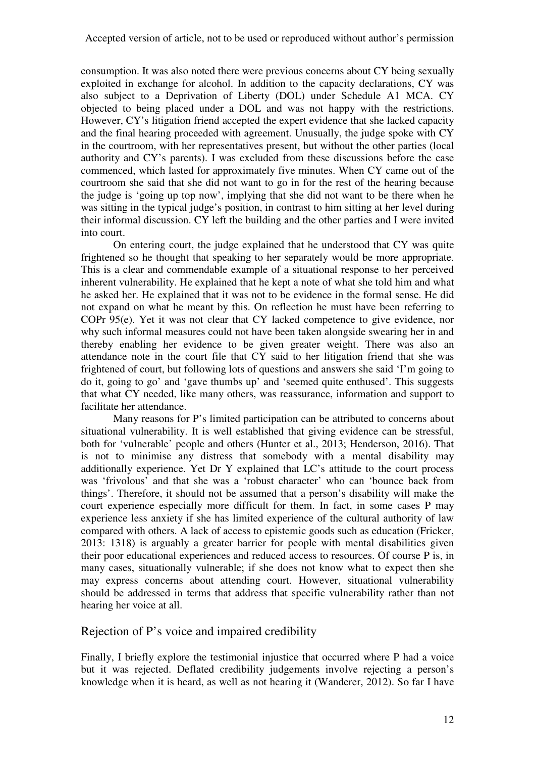consumption. It was also noted there were previous concerns about CY being sexually exploited in exchange for alcohol. In addition to the capacity declarations, CY was also subject to a Deprivation of Liberty (DOL) under Schedule A1 MCA. CY objected to being placed under a DOL and was not happy with the restrictions. However, CY's litigation friend accepted the expert evidence that she lacked capacity and the final hearing proceeded with agreement. Unusually, the judge spoke with CY in the courtroom, with her representatives present, but without the other parties (local authority and CY's parents). I was excluded from these discussions before the case commenced, which lasted for approximately five minutes. When CY came out of the courtroom she said that she did not want to go in for the rest of the hearing because the judge is 'going up top now', implying that she did not want to be there when he was sitting in the typical judge's position, in contrast to him sitting at her level during their informal discussion. CY left the building and the other parties and I were invited into court.

On entering court, the judge explained that he understood that CY was quite frightened so he thought that speaking to her separately would be more appropriate. This is a clear and commendable example of a situational response to her perceived inherent vulnerability. He explained that he kept a note of what she told him and what he asked her. He explained that it was not to be evidence in the formal sense. He did not expand on what he meant by this. On reflection he must have been referring to COPr 95(e). Yet it was not clear that CY lacked competence to give evidence, nor why such informal measures could not have been taken alongside swearing her in and thereby enabling her evidence to be given greater weight. There was also an attendance note in the court file that CY said to her litigation friend that she was frightened of court, but following lots of questions and answers she said 'I'm going to do it, going to go' and 'gave thumbs up' and 'seemed quite enthused'. This suggests that what CY needed, like many others, was reassurance, information and support to facilitate her attendance.

Many reasons for P's limited participation can be attributed to concerns about situational vulnerability. It is well established that giving evidence can be stressful, both for 'vulnerable' people and others (Hunter et al., 2013; Henderson, 2016). That is not to minimise any distress that somebody with a mental disability may additionally experience. Yet Dr Y explained that LC's attitude to the court process was 'frivolous' and that she was a 'robust character' who can 'bounce back from things'. Therefore, it should not be assumed that a person's disability will make the court experience especially more difficult for them. In fact, in some cases P may experience less anxiety if she has limited experience of the cultural authority of law compared with others. A lack of access to epistemic goods such as education (Fricker, 2013: 1318) is arguably a greater barrier for people with mental disabilities given their poor educational experiences and reduced access to resources. Of course P is, in many cases, situationally vulnerable; if she does not know what to expect then she may express concerns about attending court. However, situational vulnerability should be addressed in terms that address that specific vulnerability rather than not hearing her voice at all.

Rejection of P's voice and impaired credibility

Finally, I briefly explore the testimonial injustice that occurred where P had a voice but it was rejected. Deflated credibility judgements involve rejecting a person's knowledge when it is heard, as well as not hearing it (Wanderer, 2012). So far I have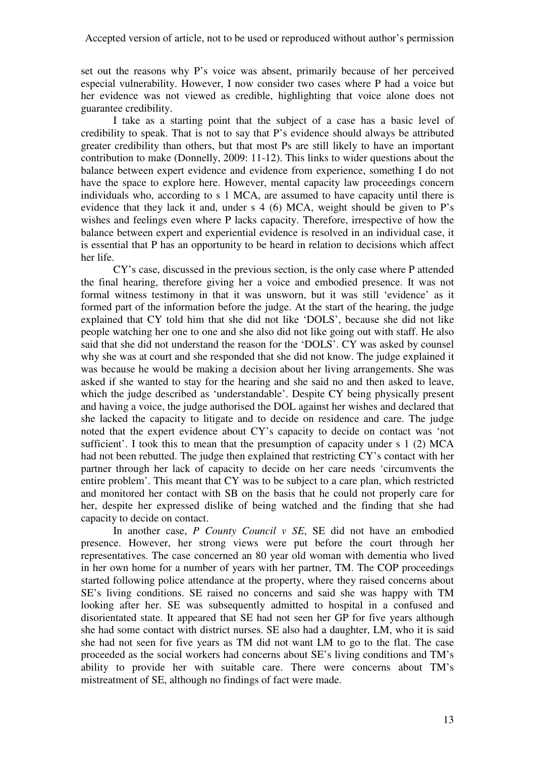set out the reasons why P's voice was absent, primarily because of her perceived especial vulnerability. However, I now consider two cases where P had a voice but her evidence was not viewed as credible, highlighting that voice alone does not guarantee credibility.

I take as a starting point that the subject of a case has a basic level of credibility to speak. That is not to say that P's evidence should always be attributed greater credibility than others, but that most Ps are still likely to have an important contribution to make (Donnelly, 2009: 11-12). This links to wider questions about the balance between expert evidence and evidence from experience, something I do not have the space to explore here. However, mental capacity law proceedings concern individuals who, according to s 1 MCA, are assumed to have capacity until there is evidence that they lack it and, under s 4 (6) MCA, weight should be given to P's wishes and feelings even where P lacks capacity. Therefore, irrespective of how the balance between expert and experiential evidence is resolved in an individual case, it is essential that P has an opportunity to be heard in relation to decisions which affect her life.

CY's case, discussed in the previous section, is the only case where P attended the final hearing, therefore giving her a voice and embodied presence. It was not formal witness testimony in that it was unsworn, but it was still 'evidence' as it formed part of the information before the judge. At the start of the hearing, the judge explained that CY told him that she did not like 'DOLS', because she did not like people watching her one to one and she also did not like going out with staff. He also said that she did not understand the reason for the 'DOLS'. CY was asked by counsel why she was at court and she responded that she did not know. The judge explained it was because he would be making a decision about her living arrangements. She was asked if she wanted to stay for the hearing and she said no and then asked to leave, which the judge described as 'understandable'. Despite CY being physically present and having a voice, the judge authorised the DOL against her wishes and declared that she lacked the capacity to litigate and to decide on residence and care. The judge noted that the expert evidence about CY's capacity to decide on contact was 'not sufficient'. I took this to mean that the presumption of capacity under s 1 (2) MCA had not been rebutted. The judge then explained that restricting CY's contact with her partner through her lack of capacity to decide on her care needs 'circumvents the entire problem'. This meant that CY was to be subject to a care plan, which restricted and monitored her contact with SB on the basis that he could not properly care for her, despite her expressed dislike of being watched and the finding that she had capacity to decide on contact.

In another case, *P County Council v SE*, SE did not have an embodied presence. However, her strong views were put before the court through her representatives. The case concerned an 80 year old woman with dementia who lived in her own home for a number of years with her partner, TM. The COP proceedings started following police attendance at the property, where they raised concerns about SE's living conditions. SE raised no concerns and said she was happy with TM looking after her. SE was subsequently admitted to hospital in a confused and disorientated state. It appeared that SE had not seen her GP for five years although she had some contact with district nurses. SE also had a daughter, LM, who it is said she had not seen for five years as TM did not want LM to go to the flat. The case proceeded as the social workers had concerns about SE's living conditions and TM's ability to provide her with suitable care. There were concerns about TM's mistreatment of SE, although no findings of fact were made.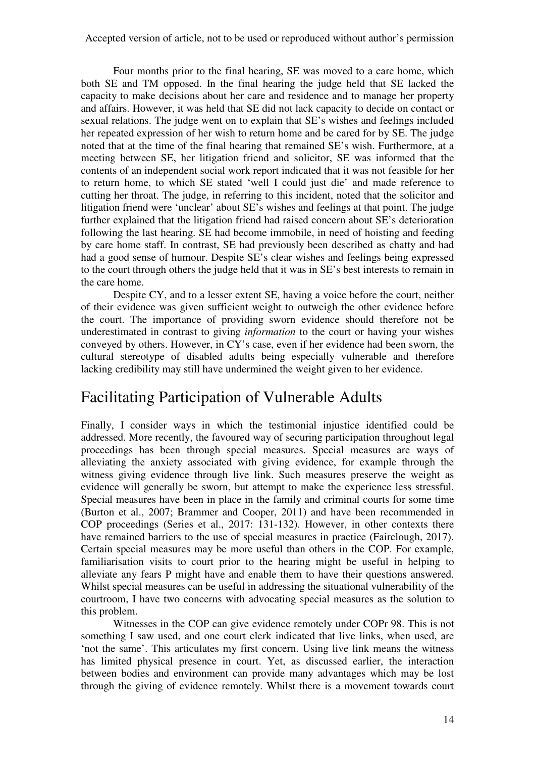Four months prior to the final hearing, SE was moved to a care home, which both SE and TM opposed. In the final hearing the judge held that SE lacked the capacity to make decisions about her care and residence and to manage her property and affairs. However, it was held that SE did not lack capacity to decide on contact or sexual relations. The judge went on to explain that SE's wishes and feelings included her repeated expression of her wish to return home and be cared for by SE. The judge noted that at the time of the final hearing that remained SE's wish. Furthermore, at a meeting between SE, her litigation friend and solicitor, SE was informed that the contents of an independent social work report indicated that it was not feasible for her to return home, to which SE stated 'well I could just die' and made reference to cutting her throat. The judge, in referring to this incident, noted that the solicitor and litigation friend were 'unclear' about SE's wishes and feelings at that point. The judge further explained that the litigation friend had raised concern about SE's deterioration following the last hearing. SE had become immobile, in need of hoisting and feeding by care home staff. In contrast, SE had previously been described as chatty and had had a good sense of humour. Despite SE's clear wishes and feelings being expressed to the court through others the judge held that it was in SE's best interests to remain in the care home.

Despite CY, and to a lesser extent SE, having a voice before the court, neither of their evidence was given sufficient weight to outweigh the other evidence before the court. The importance of providing sworn evidence should therefore not be underestimated in contrast to giving *information* to the court or having your wishes conveyed by others. However, in CY's case, even if her evidence had been sworn, the cultural stereotype of disabled adults being especially vulnerable and therefore lacking credibility may still have undermined the weight given to her evidence.

## Facilitating Participation of Vulnerable Adults

Finally, I consider ways in which the testimonial injustice identified could be addressed. More recently, the favoured way of securing participation throughout legal proceedings has been through special measures. Special measures are ways of alleviating the anxiety associated with giving evidence, for example through the witness giving evidence through live link. Such measures preserve the weight as evidence will generally be sworn, but attempt to make the experience less stressful. Special measures have been in place in the family and criminal courts for some time (Burton et al., 2007; Brammer and Cooper, 2011) and have been recommended in COP proceedings (Series et al., 2017: 131-132). However, in other contexts there have remained barriers to the use of special measures in practice (Fairclough, 2017). Certain special measures may be more useful than others in the COP. For example, familiarisation visits to court prior to the hearing might be useful in helping to alleviate any fears P might have and enable them to have their questions answered. Whilst special measures can be useful in addressing the situational vulnerability of the courtroom, I have two concerns with advocating special measures as the solution to this problem.

Witnesses in the COP can give evidence remotely under COPr 98. This is not something I saw used, and one court clerk indicated that live links, when used, are 'not the same'. This articulates my first concern. Using live link means the witness has limited physical presence in court. Yet, as discussed earlier, the interaction between bodies and environment can provide many advantages which may be lost through the giving of evidence remotely. Whilst there is a movement towards court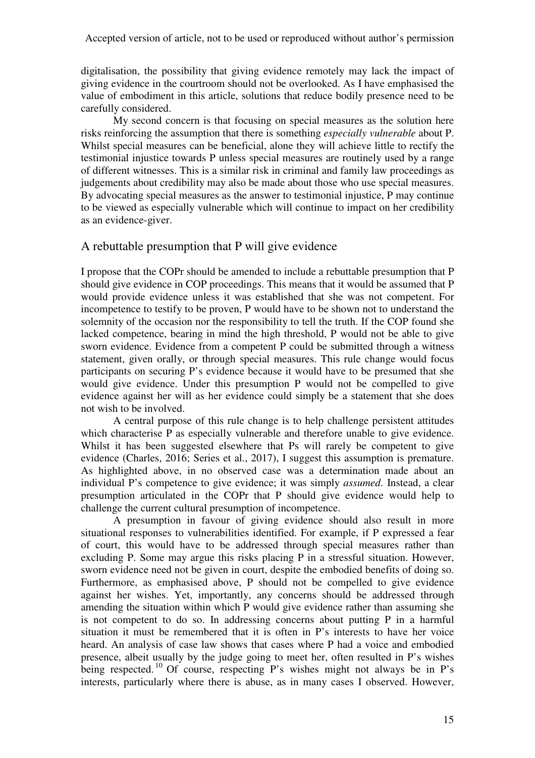digitalisation, the possibility that giving evidence remotely may lack the impact of giving evidence in the courtroom should not be overlooked. As I have emphasised the value of embodiment in this article, solutions that reduce bodily presence need to be carefully considered.

My second concern is that focusing on special measures as the solution here risks reinforcing the assumption that there is something *especially vulnerable* about P. Whilst special measures can be beneficial, alone they will achieve little to rectify the testimonial injustice towards P unless special measures are routinely used by a range of different witnesses. This is a similar risk in criminal and family law proceedings as judgements about credibility may also be made about those who use special measures. By advocating special measures as the answer to testimonial injustice, P may continue to be viewed as especially vulnerable which will continue to impact on her credibility as an evidence-giver.

### A rebuttable presumption that P will give evidence

I propose that the COPr should be amended to include a rebuttable presumption that P should give evidence in COP proceedings. This means that it would be assumed that P would provide evidence unless it was established that she was not competent. For incompetence to testify to be proven, P would have to be shown not to understand the solemnity of the occasion nor the responsibility to tell the truth. If the COP found she lacked competence, bearing in mind the high threshold, P would not be able to give sworn evidence. Evidence from a competent P could be submitted through a witness statement, given orally, or through special measures. This rule change would focus participants on securing P's evidence because it would have to be presumed that she would give evidence. Under this presumption P would not be compelled to give evidence against her will as her evidence could simply be a statement that she does not wish to be involved.

A central purpose of this rule change is to help challenge persistent attitudes which characterise P as especially vulnerable and therefore unable to give evidence. Whilst it has been suggested elsewhere that Ps will rarely be competent to give evidence (Charles, 2016; Series et al., 2017), I suggest this assumption is premature. As highlighted above, in no observed case was a determination made about an individual P's competence to give evidence; it was simply *assumed*. Instead, a clear presumption articulated in the COPr that P should give evidence would help to challenge the current cultural presumption of incompetence.

A presumption in favour of giving evidence should also result in more situational responses to vulnerabilities identified. For example, if P expressed a fear of court, this would have to be addressed through special measures rather than excluding P. Some may argue this risks placing P in a stressful situation. However, sworn evidence need not be given in court, despite the embodied benefits of doing so. Furthermore, as emphasised above, P should not be compelled to give evidence against her wishes. Yet, importantly, any concerns should be addressed through amending the situation within which P would give evidence rather than assuming she is not competent to do so. In addressing concerns about putting P in a harmful situation it must be remembered that it is often in P's interests to have her voice heard. An analysis of case law shows that cases where P had a voice and embodied presence, albeit usually by the judge going to meet her, often resulted in P's wishes being respected. <sup>10</sup> Of course, respecting P's wishes might not always be in P's interests, particularly where there is abuse, as in many cases I observed. However,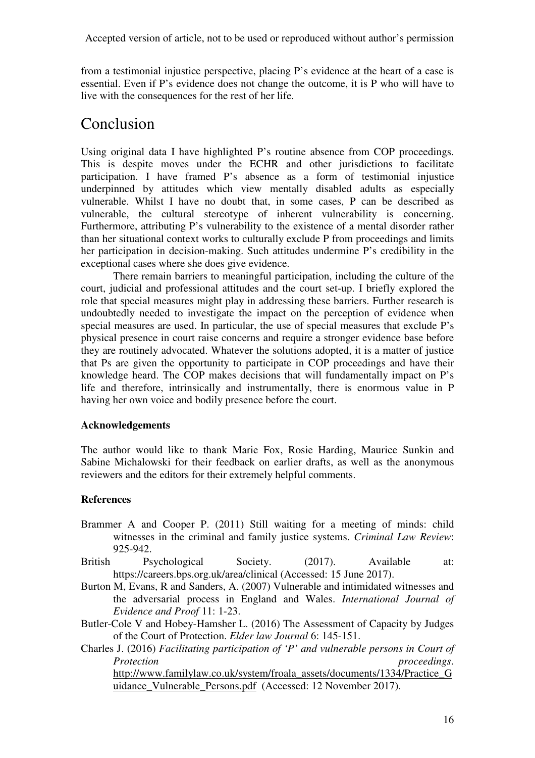from a testimonial injustice perspective, placing P's evidence at the heart of a case is essential. Even if P's evidence does not change the outcome, it is P who will have to live with the consequences for the rest of her life.

# Conclusion

Using original data I have highlighted P's routine absence from COP proceedings. This is despite moves under the ECHR and other jurisdictions to facilitate participation. I have framed P's absence as a form of testimonial injustice underpinned by attitudes which view mentally disabled adults as especially vulnerable. Whilst I have no doubt that, in some cases, P can be described as vulnerable, the cultural stereotype of inherent vulnerability is concerning. Furthermore, attributing P's vulnerability to the existence of a mental disorder rather than her situational context works to culturally exclude P from proceedings and limits her participation in decision-making. Such attitudes undermine P's credibility in the exceptional cases where she does give evidence.

There remain barriers to meaningful participation, including the culture of the court, judicial and professional attitudes and the court set-up. I briefly explored the role that special measures might play in addressing these barriers. Further research is undoubtedly needed to investigate the impact on the perception of evidence when special measures are used. In particular, the use of special measures that exclude P's physical presence in court raise concerns and require a stronger evidence base before they are routinely advocated. Whatever the solutions adopted, it is a matter of justice that Ps are given the opportunity to participate in COP proceedings and have their knowledge heard. The COP makes decisions that will fundamentally impact on P's life and therefore, intrinsically and instrumentally, there is enormous value in P having her own voice and bodily presence before the court.

### **Acknowledgements**

The author would like to thank Marie Fox, Rosie Harding, Maurice Sunkin and Sabine Michalowski for their feedback on earlier drafts, as well as the anonymous reviewers and the editors for their extremely helpful comments.

### **References**

- Brammer A and Cooper P. (2011) Still waiting for a meeting of minds: child witnesses in the criminal and family justice systems. *Criminal Law Review*: 925-942.
- British Psychological Society. (2017). Available at: https://careers.bps.org.uk/area/clinical (Accessed: 15 June 2017).
- Burton M, Evans, R and Sanders, A. (2007) Vulnerable and intimidated witnesses and the adversarial process in England and Wales. *International Journal of Evidence and Proof* 11: 1-23.
- Butler-Cole V and Hobey-Hamsher L. (2016) The Assessment of Capacity by Judges of the Court of Protection. *Elder law Journal* 6: 145-151.
- Charles J. (2016) *Facilitating participation of 'P' and vulnerable persons in Court of Protection proceedings.* http://www.familylaw.co.uk/system/froala\_assets/documents/1334/Practice\_G uidance Vulnerable Persons.pdf (Accessed: 12 November 2017).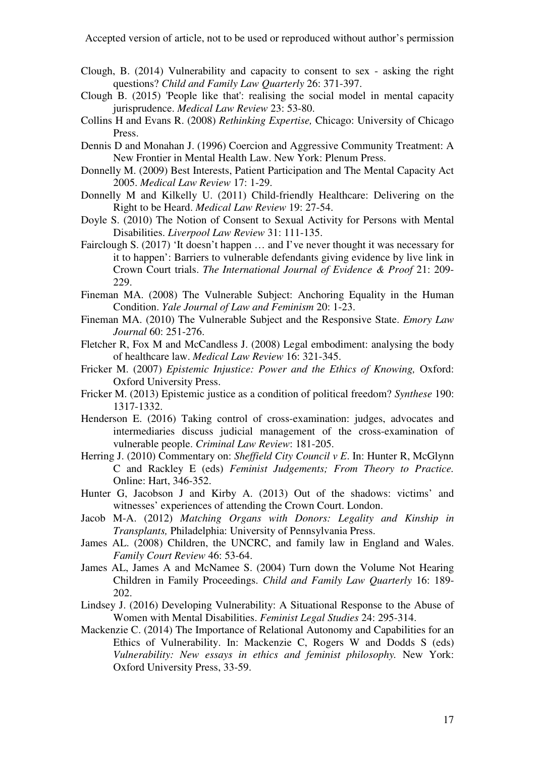- Clough, B. (2014) Vulnerability and capacity to consent to sex asking the right questions? *Child and Family Law Quarterly* 26: 371-397.
- Clough B. (2015) 'People like that': realising the social model in mental capacity jurisprudence. *Medical Law Review* 23: 53-80.
- Collins H and Evans R. (2008) *Rethinking Expertise,* Chicago: University of Chicago Press.
- Dennis D and Monahan J. (1996) Coercion and Aggressive Community Treatment: A New Frontier in Mental Health Law. New York: Plenum Press.
- Donnelly M. (2009) Best Interests, Patient Participation and The Mental Capacity Act 2005. *Medical Law Review* 17: 1-29.
- Donnelly M and Kilkelly U. (2011) Child-friendly Healthcare: Delivering on the Right to be Heard. *Medical Law Review* 19: 27-54.
- Doyle S. (2010) The Notion of Consent to Sexual Activity for Persons with Mental Disabilities. *Liverpool Law Review* 31: 111-135.
- Fairclough S. (2017) 'It doesn't happen … and I've never thought it was necessary for it to happen': Barriers to vulnerable defendants giving evidence by live link in Crown Court trials. *The International Journal of Evidence & Proof* 21: 209- 229.
- Fineman MA. (2008) The Vulnerable Subject: Anchoring Equality in the Human Condition. *Yale Journal of Law and Feminism* 20: 1-23.
- Fineman MA. (2010) The Vulnerable Subject and the Responsive State. *Emory Law Journal* 60: 251-276.
- Fletcher R, Fox M and McCandless J. (2008) Legal embodiment: analysing the body of healthcare law. *Medical Law Review* 16: 321-345.
- Fricker M. (2007) *Epistemic Injustice: Power and the Ethics of Knowing*, Oxford: Oxford University Press.
- Fricker M. (2013) Epistemic justice as a condition of political freedom? *Synthese* 190: 1317-1332.
- Henderson E. (2016) Taking control of cross-examination: judges, advocates and intermediaries discuss judicial management of the cross-examination of vulnerable people. *Criminal Law Review*: 181-205.
- Herring J. (2010) Commentary on: *Sheffield City Council v E*. In: Hunter R, McGlynn C and Rackley E (eds) *Feminist Judgements; From Theory to Practice.* Online: Hart, 346-352.
- Hunter G, Jacobson J and Kirby A. (2013) Out of the shadows: victims' and witnesses' experiences of attending the Crown Court. London.
- Jacob M-A. (2012) *Matching Organs with Donors: Legality and Kinship in Transplants,* Philadelphia: University of Pennsylvania Press.
- James AL. (2008) Children, the UNCRC, and family law in England and Wales. *Family Court Review* 46: 53-64.
- James AL, James A and McNamee S. (2004) Turn down the Volume Not Hearing Children in Family Proceedings. *Child and Family Law Quarterly* 16: 189- 202.
- Lindsey J. (2016) Developing Vulnerability: A Situational Response to the Abuse of Women with Mental Disabilities. *Feminist Legal Studies* 24: 295-314.
- Mackenzie C. (2014) The Importance of Relational Autonomy and Capabilities for an Ethics of Vulnerability. In: Mackenzie C, Rogers W and Dodds S (eds) *Vulnerability: New essays in ethics and feminist philosophy.* New York: Oxford University Press, 33-59.